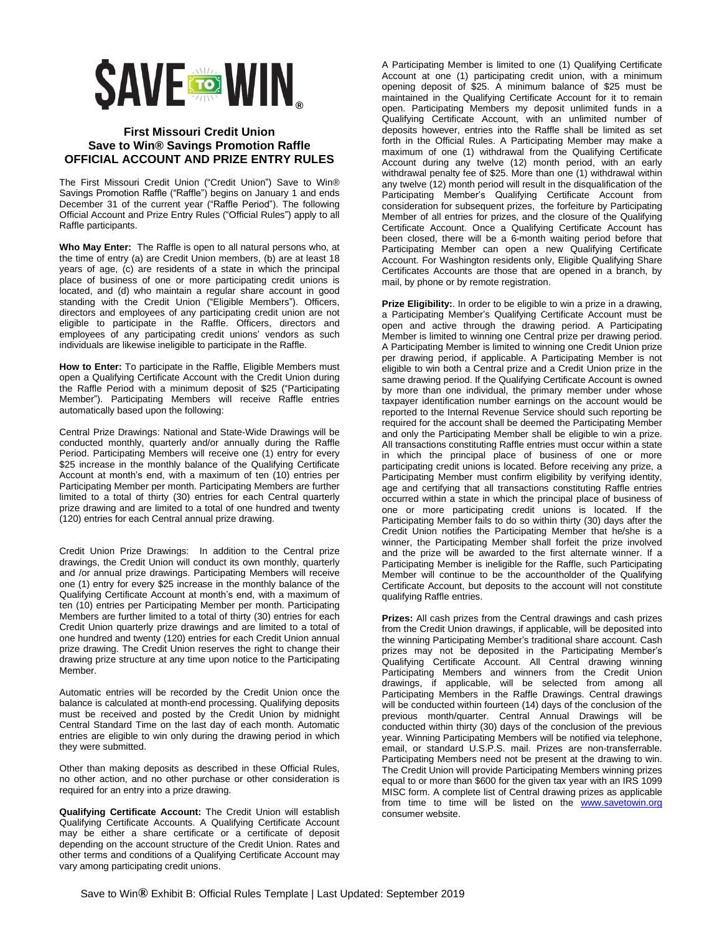## **SAVE TO WIN**

## **First Missouri Credit Union Save to Win® Savings Promotion Raffle OFFICIAL ACCOUNT AND PRIZE ENTRY RULES**

The First Missouri Credit Union ("Credit Union") Save to Win® Savings Promotion Raffle ("Raffle") begins on January 1 and ends December 31 of the current year ("Raffle Period"). The following Official Account and Prize Entry Rules ("Official Rules") apply to all Raffle participants.

**Who May Enter:** The Raffle is open to all natural persons who, at the time of entry (a) are Credit Union members, (b) are at least 18 years of age, (c) are residents of a state in which the principal place of business of one or more participating credit unions is located, and (d) who maintain a regular share account in good standing with the Credit Union ("Eligible Members"). Officers, directors and employees of any participating credit union are not eligible to participate in the Raffle. Officers, directors and employees of any participating credit unions' vendors as such individuals are likewise ineligible to participate in the Raffle.

**How to Enter:** To participate in the Raffle, Eligible Members must open a Qualifying Certificate Account with the Credit Union during the Raffle Period with a minimum deposit of \$25 ("Participating Member"). Participating Members will receive Raffle entries automatically based upon the following:

Central Prize Drawings: National and State-Wide Drawings will be conducted monthly, quarterly and/or annually during the Raffle Period. Participating Members will receive one (1) entry for every \$25 increase in the monthly balance of the Qualifying Certificate Account at month's end, with a maximum of ten (10) entries per Participating Member per month. Participating Members are further limited to a total of thirty (30) entries for each Central quarterly prize drawing and are limited to a total of one hundred and twenty (120) entries for each Central annual prize drawing.

Credit Union Prize Drawings: In addition to the Central prize drawings, the Credit Union will conduct its own monthly, quarterly and /or annual prize drawings. Participating Members will receive one (1) entry for every \$25 increase in the monthly balance of the Qualifying Certificate Account at month's end, with a maximum of ten (10) entries per Participating Member per month. Participating Members are further limited to a total of thirty (30) entries for each Credit Union quarterly prize drawings and are limited to a total of one hundred and twenty (120) entries for each Credit Union annual prize drawing. The Credit Union reserves the right to change their drawing prize structure at any time upon notice to the Participating Member.

Automatic entries will be recorded by the Credit Union once the balance is calculated at month-end processing. Qualifying deposits must be received and posted by the Credit Union by midnight Central Standard Time on the last day of each month. Automatic entries are eligible to win only during the drawing period in which they were submitted.

Other than making deposits as described in these Official Rules, no other action, and no other purchase or other consideration is required for an entry into a prize drawing.

**Qualifying Certificate Account:** The Credit Union will establish Qualifying Certificate Accounts. A Qualifying Certificate Account may be either a share certificate or a certificate of deposit depending on the account structure of the Credit Union. Rates and other terms and conditions of a Qualifying Certificate Account may vary among participating credit unions.

A Participating Member is limited to one (1) Qualifying Certificate Account at one (1) participating credit union, with a minimum opening deposit of \$25. A minimum balance of \$25 must be maintained in the Qualifying Certificate Account for it to remain open. Participating Members my deposit unlimited funds in a Qualifying Certificate Account, with an unlimited number of deposits however, entries into the Raffle shall be limited as set forth in the Official Rules. A Participating Member may make a maximum of one (1) withdrawal from the Qualifying Certificate Account during any twelve (12) month period, with an early withdrawal penalty fee of \$25. More than one (1) withdrawal within any twelve (12) month period will result in the disqualification of the Participating Member's Qualifying Certificate Account from consideration for subsequent prizes, the forfeiture by Participating Member of all entries for prizes, and the closure of the Qualifying Certificate Account. Once a Qualifying Certificate Account has been closed, there will be a 6-month waiting period before that Participating Member can open a new Qualifying Certificate Account. For Washington residents only, Eligible Qualifying Share Certificates Accounts are those that are opened in a branch, by mail, by phone or by remote registration.

**Prize Eligibility:**. In order to be eligible to win a prize in a drawing, a Participating Member's Qualifying Certificate Account must be open and active through the drawing period. A Participating Member is limited to winning one Central prize per drawing period. A Participating Member is limited to winning one Credit Union prize per drawing period, if applicable. A Participating Member is not eligible to win both a Central prize and a Credit Union prize in the same drawing period. If the Qualifying Certificate Account is owned by more than one individual, the primary member under whose taxpayer identification number earnings on the account would be reported to the Internal Revenue Service should such reporting be required for the account shall be deemed the Participating Member and only the Participating Member shall be eligible to win a prize. All transactions constituting Raffle entries must occur within a state in which the principal place of business of one or more participating credit unions is located. Before receiving any prize, a Participating Member must confirm eligibility by verifying identity, age and certifying that all transactions constituting Raffle entries occurred within a state in which the principal place of business of one or more participating credit unions is located. If the Participating Member fails to do so within thirty (30) days after the Credit Union notifies the Participating Member that he/she is a winner, the Participating Member shall forfeit the prize involved and the prize will be awarded to the first alternate winner. If a Participating Member is ineligible for the Raffle, such Participating Member will continue to be the accountholder of the Qualifying Certificate Account, but deposits to the account will not constitute qualifying Raffle entries.

**Prizes:** All cash prizes from the Central drawings and cash prizes from the Credit Union drawings, if applicable, will be deposited into the winning Participating Member's traditional share account. Cash prizes may not be deposited in the Participating Member's Qualifying Certificate Account. All Central drawing winning Participating Members and winners from the Credit Union drawings, if applicable, will be selected from among all Participating Members in the Raffle Drawings. Central drawings will be conducted within fourteen (14) days of the conclusion of the previous month/quarter. Central Annual Drawings will be conducted within thirty (30) days of the conclusion of the previous year. Winning Participating Members will be notified via telephone, email, or standard U.S.P.S. mail. Prizes are non-transferrable. Participating Members need not be present at the drawing to win. The Credit Union will provide Participating Members winning prizes equal to or more than \$600 for the given tax year with an IRS 1099 MISC form. A complete list of Central drawing prizes as applicable from time to time will be listed on the [www.savetowin.org](http://www.savetowin.org/) consumer website.